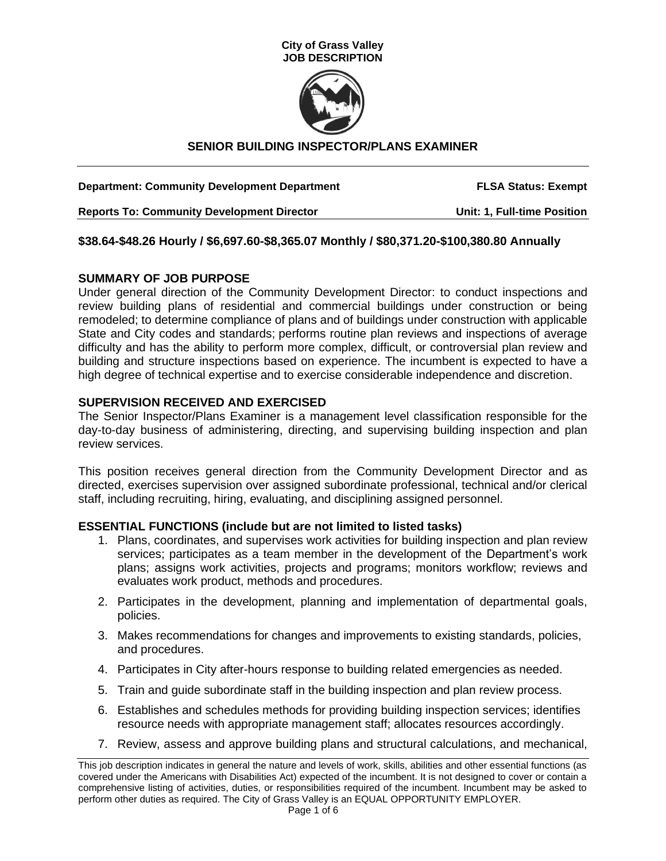



# **SENIOR BUILDING INSPECTOR/PLANS EXAMINER**

| <b>Department: Community Development Department</b> | <b>FLSA Status: Exempt</b>  |
|-----------------------------------------------------|-----------------------------|
| <b>Reports To: Community Development Director</b>   | Unit: 1, Full-time Position |

### **\$38.64-\$48.26 Hourly / \$6,697.60-\$8,365.07 Monthly / \$80,371.20-\$100,380.80 Annually**

### **SUMMARY OF JOB PURPOSE**

Under general direction of the Community Development Director: to conduct inspections and review building plans of residential and commercial buildings under construction or being remodeled; to determine compliance of plans and of buildings under construction with applicable State and City codes and standards; performs routine plan reviews and inspections of average difficulty and has the ability to perform more complex, difficult, or controversial plan review and building and structure inspections based on experience. The incumbent is expected to have a high degree of technical expertise and to exercise considerable independence and discretion.

### **SUPERVISION RECEIVED AND EXERCISED**

The Senior Inspector/Plans Examiner is a management level classification responsible for the day-to-day business of administering, directing, and supervising building inspection and plan review services.

This position receives general direction from the Community Development Director and as directed, exercises supervision over assigned subordinate professional, technical and/or clerical staff, including recruiting, hiring, evaluating, and disciplining assigned personnel.

### **ESSENTIAL FUNCTIONS (include but are not limited to listed tasks)**

- 1. Plans, coordinates, and supervises work activities for building inspection and plan review services; participates as a team member in the development of the Department's work plans; assigns work activities, projects and programs; monitors workflow; reviews and evaluates work product, methods and procedures.
- 2. Participates in the development, planning and implementation of departmental goals, policies.
- 3. Makes recommendations for changes and improvements to existing standards, policies, and procedures.
- 4. Participates in City after-hours response to building related emergencies as needed.
- 5. Train and guide subordinate staff in the building inspection and plan review process.
- 6. Establishes and schedules methods for providing building inspection services; identifies resource needs with appropriate management staff; allocates resources accordingly.
- 7. Review, assess and approve building plans and structural calculations, and mechanical,

This job description indicates in general the nature and levels of work, skills, abilities and other essential functions (as covered under the Americans with Disabilities Act) expected of the incumbent. It is not designed to cover or contain a comprehensive listing of activities, duties, or responsibilities required of the incumbent. Incumbent may be asked to perform other duties as required. The City of Grass Valley is an EQUAL OPPORTUNITY EMPLOYER.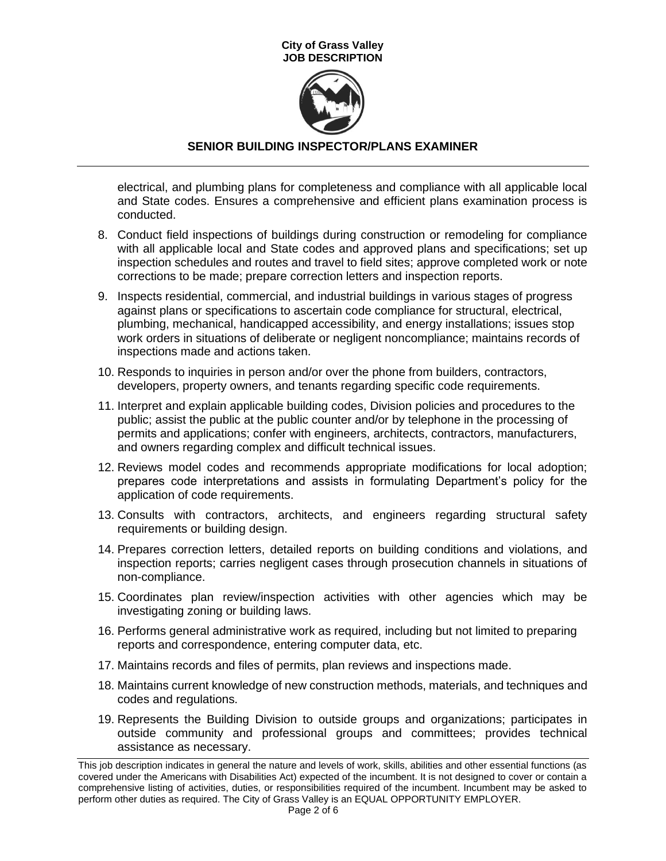

# **SENIOR BUILDING INSPECTOR/PLANS EXAMINER**

electrical, and plumbing plans for completeness and compliance with all applicable local and State codes. Ensures a comprehensive and efficient plans examination process is conducted.

- 8. Conduct field inspections of buildings during construction or remodeling for compliance with all applicable local and State codes and approved plans and specifications; set up inspection schedules and routes and travel to field sites; approve completed work or note corrections to be made; prepare correction letters and inspection reports.
- 9. Inspects residential, commercial, and industrial buildings in various stages of progress against plans or specifications to ascertain code compliance for structural, electrical, plumbing, mechanical, handicapped accessibility, and energy installations; issues stop work orders in situations of deliberate or negligent noncompliance; maintains records of inspections made and actions taken.
- 10. Responds to inquiries in person and/or over the phone from builders, contractors, developers, property owners, and tenants regarding specific code requirements.
- 11. Interpret and explain applicable building codes, Division policies and procedures to the public; assist the public at the public counter and/or by telephone in the processing of permits and applications; confer with engineers, architects, contractors, manufacturers, and owners regarding complex and difficult technical issues.
- 12. Reviews model codes and recommends appropriate modifications for local adoption; prepares code interpretations and assists in formulating Department's policy for the application of code requirements.
- 13. Consults with contractors, architects, and engineers regarding structural safety requirements or building design.
- 14. Prepares correction letters, detailed reports on building conditions and violations, and inspection reports; carries negligent cases through prosecution channels in situations of non-compliance.
- 15. Coordinates plan review/inspection activities with other agencies which may be investigating zoning or building laws.
- 16. Performs general administrative work as required, including but not limited to preparing reports and correspondence, entering computer data, etc.
- 17. Maintains records and files of permits, plan reviews and inspections made.
- 18. Maintains current knowledge of new construction methods, materials, and techniques and codes and regulations.
- 19. Represents the Building Division to outside groups and organizations; participates in outside community and professional groups and committees; provides technical assistance as necessary.

This job description indicates in general the nature and levels of work, skills, abilities and other essential functions (as covered under the Americans with Disabilities Act) expected of the incumbent. It is not designed to cover or contain a comprehensive listing of activities, duties, or responsibilities required of the incumbent. Incumbent may be asked to perform other duties as required. The City of Grass Valley is an EQUAL OPPORTUNITY EMPLOYER.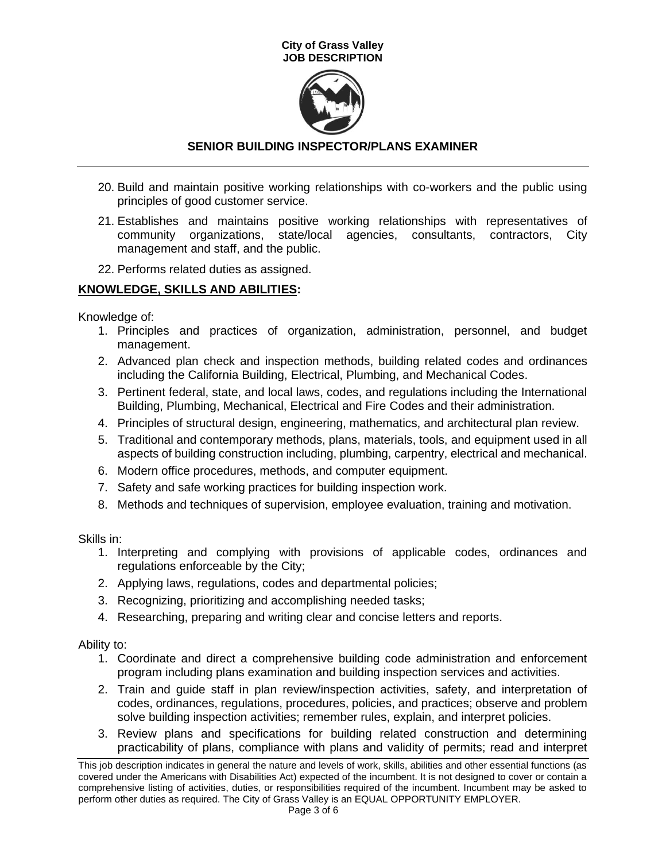

# **SENIOR BUILDING INSPECTOR/PLANS EXAMINER**

- 20. Build and maintain positive working relationships with co-workers and the public using principles of good customer service.
- 21. Establishes and maintains positive working relationships with representatives of community organizations, state/local agencies, consultants, contractors, City management and staff, and the public.
- 22. Performs related duties as assigned.

# **KNOWLEDGE, SKILLS AND ABILITIES:**

Knowledge of:

- 1. Principles and practices of organization, administration, personnel, and budget management.
- 2. Advanced plan check and inspection methods, building related codes and ordinances including the California Building, Electrical, Plumbing, and Mechanical Codes.
- 3. Pertinent federal, state, and local laws, codes, and regulations including the International Building, Plumbing, Mechanical, Electrical and Fire Codes and their administration.
- 4. Principles of structural design, engineering, mathematics, and architectural plan review.
- 5. Traditional and contemporary methods, plans, materials, tools, and equipment used in all aspects of building construction including, plumbing, carpentry, electrical and mechanical.
- 6. Modern office procedures, methods, and computer equipment.
- 7. Safety and safe working practices for building inspection work.
- 8. Methods and techniques of supervision, employee evaluation, training and motivation.

Skills in:

- 1. Interpreting and complying with provisions of applicable codes, ordinances and regulations enforceable by the City;
- 2. Applying laws, regulations, codes and departmental policies;
- 3. Recognizing, prioritizing and accomplishing needed tasks;
- 4. Researching, preparing and writing clear and concise letters and reports.

Ability to:

- 1. Coordinate and direct a comprehensive building code administration and enforcement program including plans examination and building inspection services and activities.
- 2. Train and guide staff in plan review/inspection activities, safety, and interpretation of codes, ordinances, regulations, procedures, policies, and practices; observe and problem solve building inspection activities; remember rules, explain, and interpret policies.
- 3. Review plans and specifications for building related construction and determining practicability of plans, compliance with plans and validity of permits; read and interpret

This job description indicates in general the nature and levels of work, skills, abilities and other essential functions (as covered under the Americans with Disabilities Act) expected of the incumbent. It is not designed to cover or contain a comprehensive listing of activities, duties, or responsibilities required of the incumbent. Incumbent may be asked to perform other duties as required. The City of Grass Valley is an EQUAL OPPORTUNITY EMPLOYER.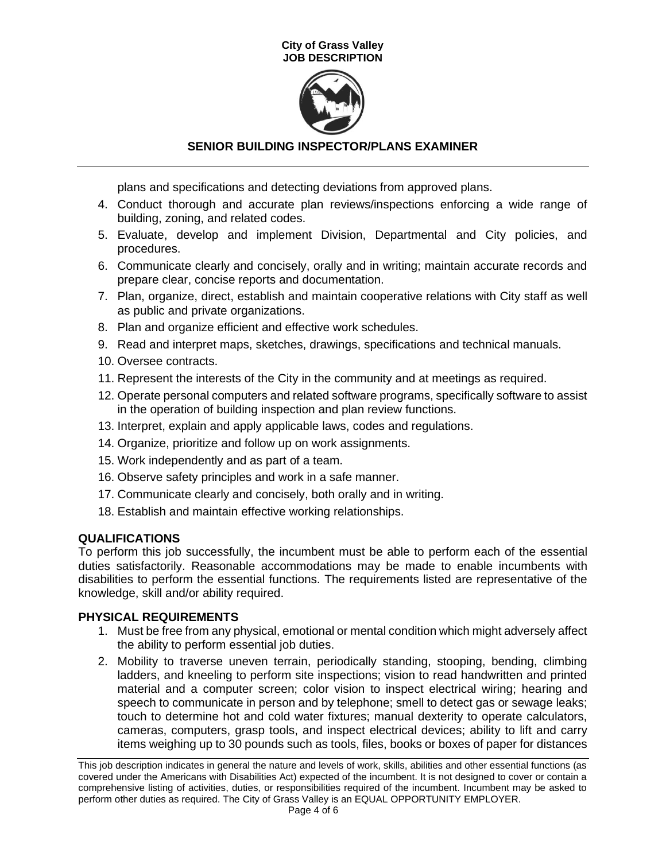

# **SENIOR BUILDING INSPECTOR/PLANS EXAMINER**

plans and specifications and detecting deviations from approved plans.

- 4. Conduct thorough and accurate plan reviews/inspections enforcing a wide range of building, zoning, and related codes.
- 5. Evaluate, develop and implement Division, Departmental and City policies, and procedures.
- 6. Communicate clearly and concisely, orally and in writing; maintain accurate records and prepare clear, concise reports and documentation.
- 7. Plan, organize, direct, establish and maintain cooperative relations with City staff as well as public and private organizations.
- 8. Plan and organize efficient and effective work schedules.
- 9. Read and interpret maps, sketches, drawings, specifications and technical manuals.
- 10. Oversee contracts.
- 11. Represent the interests of the City in the community and at meetings as required.
- 12. Operate personal computers and related software programs, specifically software to assist in the operation of building inspection and plan review functions.
- 13. Interpret, explain and apply applicable laws, codes and regulations.
- 14. Organize, prioritize and follow up on work assignments.
- 15. Work independently and as part of a team.
- 16. Observe safety principles and work in a safe manner.
- 17. Communicate clearly and concisely, both orally and in writing.
- 18. Establish and maintain effective working relationships.

## **QUALIFICATIONS**

To perform this job successfully, the incumbent must be able to perform each of the essential duties satisfactorily. Reasonable accommodations may be made to enable incumbents with disabilities to perform the essential functions. The requirements listed are representative of the knowledge, skill and/or ability required.

## **PHYSICAL REQUIREMENTS**

- 1. Must be free from any physical, emotional or mental condition which might adversely affect the ability to perform essential job duties.
- 2. Mobility to traverse uneven terrain, periodically standing, stooping, bending, climbing ladders, and kneeling to perform site inspections; vision to read handwritten and printed material and a computer screen; color vision to inspect electrical wiring; hearing and speech to communicate in person and by telephone; smell to detect gas or sewage leaks; touch to determine hot and cold water fixtures; manual dexterity to operate calculators, cameras, computers, grasp tools, and inspect electrical devices; ability to lift and carry items weighing up to 30 pounds such as tools, files, books or boxes of paper for distances

This job description indicates in general the nature and levels of work, skills, abilities and other essential functions (as covered under the Americans with Disabilities Act) expected of the incumbent. It is not designed to cover or contain a comprehensive listing of activities, duties, or responsibilities required of the incumbent. Incumbent may be asked to perform other duties as required. The City of Grass Valley is an EQUAL OPPORTUNITY EMPLOYER.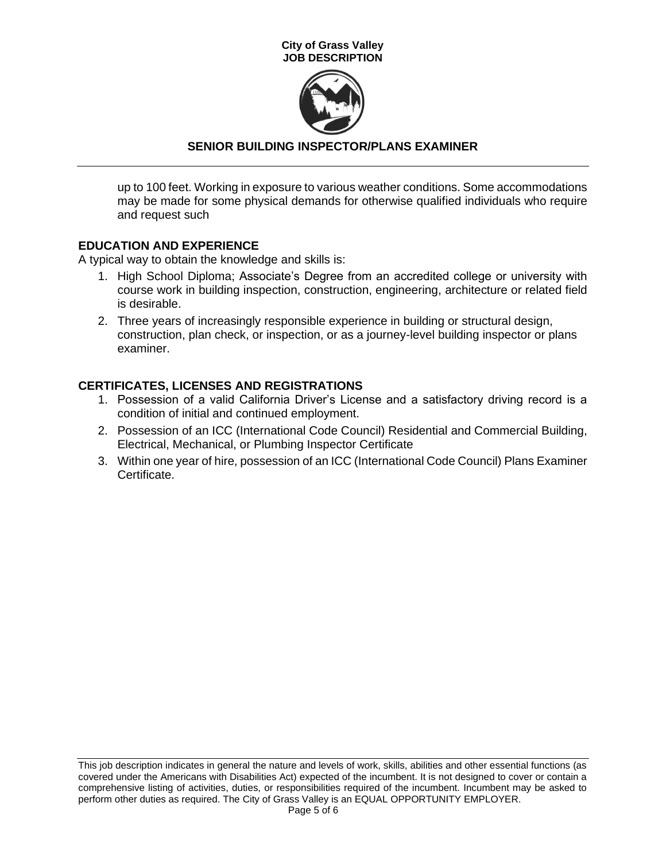

# **SENIOR BUILDING INSPECTOR/PLANS EXAMINER**

up to 100 feet. Working in exposure to various weather conditions. Some accommodations may be made for some physical demands for otherwise qualified individuals who require and request such

## **EDUCATION AND EXPERIENCE**

A typical way to obtain the knowledge and skills is:

- 1. High School Diploma; Associate's Degree from an accredited college or university with course work in building inspection, construction, engineering, architecture or related field is desirable.
- 2. Three years of increasingly responsible experience in building or structural design, construction, plan check, or inspection, or as a journey-level building inspector or plans examiner.

# **CERTIFICATES, LICENSES AND REGISTRATIONS**

- 1. Possession of a valid California Driver's License and a satisfactory driving record is a condition of initial and continued employment.
- 2. Possession of an ICC (International Code Council) Residential and Commercial Building, Electrical, Mechanical, or Plumbing Inspector Certificate
- 3. Within one year of hire, possession of an ICC (International Code Council) Plans Examiner Certificate.

This job description indicates in general the nature and levels of work, skills, abilities and other essential functions (as covered under the Americans with Disabilities Act) expected of the incumbent. It is not designed to cover or contain a comprehensive listing of activities, duties, or responsibilities required of the incumbent. Incumbent may be asked to perform other duties as required. The City of Grass Valley is an EQUAL OPPORTUNITY EMPLOYER.